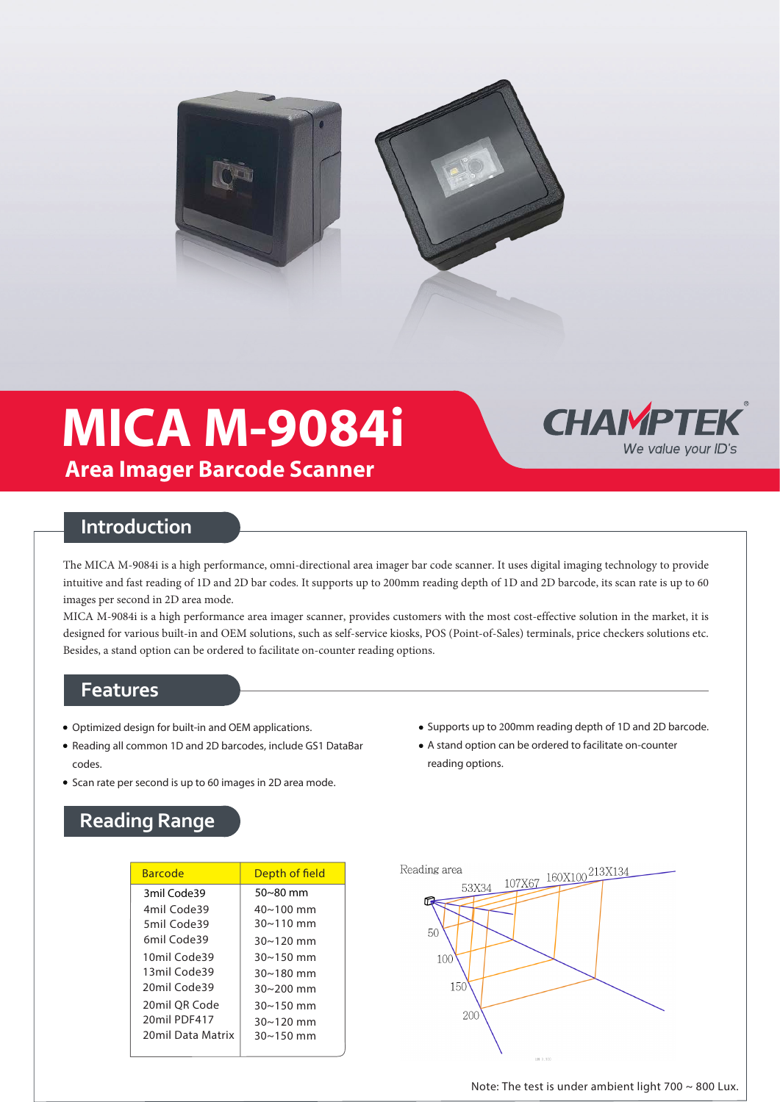

# **MICA M-9084i Area Imager Barcode Scanner**



### **Introduction**

The MICA M-9084i is a high performance, omni-directional area imager bar code scanner. It uses digital imaging technology to provide intuitive and fast reading of 1D and 2D bar codes. It supports up to 200mm reading depth of 1D and 2D barcode, its scan rate is up to 60 images per second in 2D area mode.

MICA M-9084i is a high performance area imager scanner, provides customers with the most cost-effective solution in the market, it is designed for various built-in and OEM solutions, such as self-service kiosks, POS (Point-of-Sales) terminals, price checkers solutions etc. Besides, a stand option can be ordered to facilitate on-counter reading options.

#### **Features**

- Optimized design for built-in and OEM applications.
- Reading all common 1D and 2D barcodes, include GS1 DataBar codes.
- Scan rate per second is up to 60 images in 2D area mode.
- Supports up to 200mm reading depth of 1D and 2D barcode.
- A stand option can be ordered to facilitate on-counter reading options.

# **Reading Range**

| <b>Barcode</b>    | Depth of field     |
|-------------------|--------------------|
| 3mil Code39       | $50~80$ mm         |
| 4mil Code39       | $40 \sim 100$ mm   |
| 5mil Code39       | $30 \sim 110$ mm   |
| 6mil Code39       | $30 \sim 120$ mm   |
| 10mil Code39      | $30 - 150$ mm      |
| 13mil Code39      | $30 - 180$ mm      |
| 20mil Code39      | $30 - 200$ mm      |
| 20mil OR Code     | $30 \sim 150$ mm   |
| 20mil PDF417      | $30 \sim 120$ mm   |
| 20mil Data Matrix | $30 \times 150$ mm |
|                   |                    |